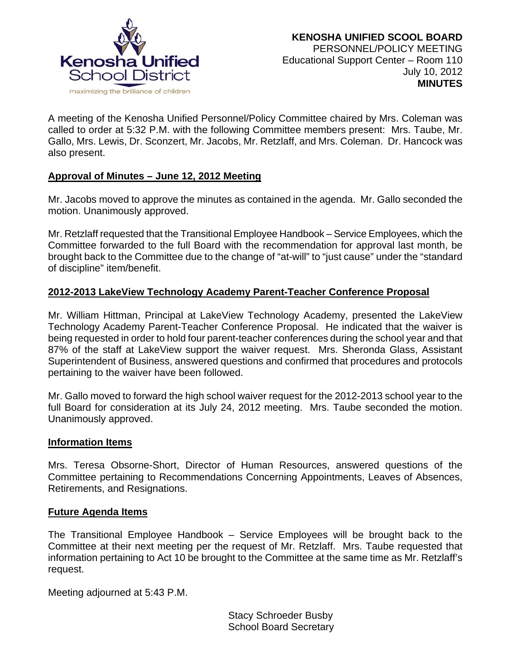

A meeting of the Kenosha Unified Personnel/Policy Committee chaired by Mrs. Coleman was called to order at 5:32 P.M. with the following Committee members present: Mrs. Taube, Mr. Gallo, Mrs. Lewis, Dr. Sconzert, Mr. Jacobs, Mr. Retzlaff, and Mrs. Coleman. Dr. Hancock was also present.

# **Approval of Minutes – June 12, 2012 Meeting**

Mr. Jacobs moved to approve the minutes as contained in the agenda. Mr. Gallo seconded the motion. Unanimously approved.

Mr. Retzlaff requested that the Transitional Employee Handbook – Service Employees, which the Committee forwarded to the full Board with the recommendation for approval last month, be brought back to the Committee due to the change of "at-will" to "just cause" under the "standard of discipline" item/benefit.

# **2012-2013 LakeView Technology Academy Parent-Teacher Conference Proposal**

Mr. William Hittman, Principal at LakeView Technology Academy, presented the LakeView Technology Academy Parent-Teacher Conference Proposal. He indicated that the waiver is being requested in order to hold four parent-teacher conferences during the school year and that 87% of the staff at LakeView support the waiver request. Mrs. Sheronda Glass, Assistant Superintendent of Business, answered questions and confirmed that procedures and protocols pertaining to the waiver have been followed.

Mr. Gallo moved to forward the high school waiver request for the 2012-2013 school year to the full Board for consideration at its July 24, 2012 meeting. Mrs. Taube seconded the motion. Unanimously approved.

## **Information Items**

Mrs. Teresa Obsorne-Short, Director of Human Resources, answered questions of the Committee pertaining to Recommendations Concerning Appointments, Leaves of Absences, Retirements, and Resignations.

## **Future Agenda Items**

The Transitional Employee Handbook – Service Employees will be brought back to the Committee at their next meeting per the request of Mr. Retzlaff. Mrs. Taube requested that information pertaining to Act 10 be brought to the Committee at the same time as Mr. Retzlaff's request.

Meeting adjourned at 5:43 P.M.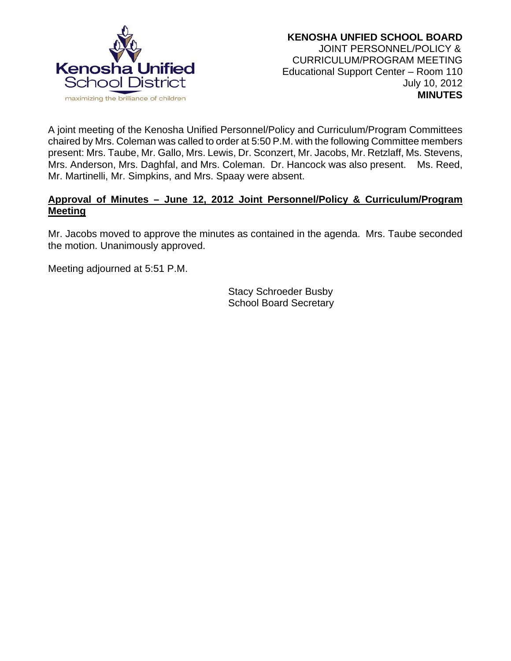

A joint meeting of the Kenosha Unified Personnel/Policy and Curriculum/Program Committees chaired by Mrs. Coleman was called to order at 5:50 P.M. with the following Committee members present: Mrs. Taube, Mr. Gallo, Mrs. Lewis, Dr. Sconzert, Mr. Jacobs, Mr. Retzlaff, Ms. Stevens, Mrs. Anderson, Mrs. Daghfal, and Mrs. Coleman. Dr. Hancock was also present. Ms. Reed, Mr. Martinelli, Mr. Simpkins, and Mrs. Spaay were absent.

# **Approval of Minutes – June 12, 2012 Joint Personnel/Policy & Curriculum/Program Meeting**

Mr. Jacobs moved to approve the minutes as contained in the agenda. Mrs. Taube seconded the motion. Unanimously approved.

Meeting adjourned at 5:51 P.M.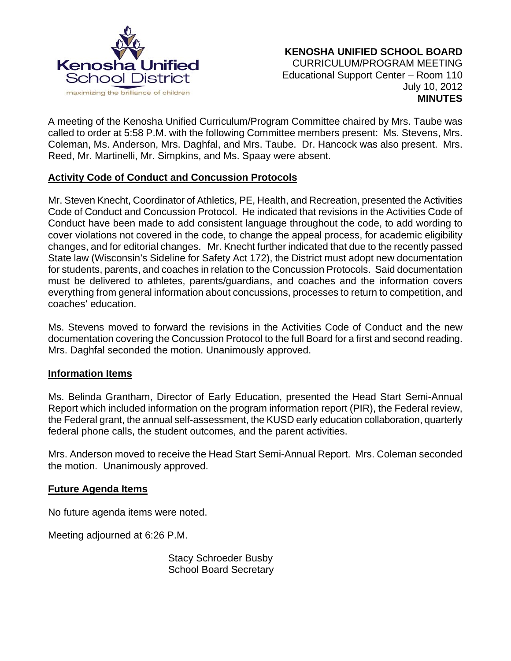

A meeting of the Kenosha Unified Curriculum/Program Committee chaired by Mrs. Taube was called to order at 5:58 P.M. with the following Committee members present: Ms. Stevens, Mrs. Coleman, Ms. Anderson, Mrs. Daghfal, and Mrs. Taube. Dr. Hancock was also present. Mrs. Reed, Mr. Martinelli, Mr. Simpkins, and Ms. Spaay were absent.

# **Activity Code of Conduct and Concussion Protocols**

Mr. Steven Knecht, Coordinator of Athletics, PE, Health, and Recreation, presented the Activities Code of Conduct and Concussion Protocol. He indicated that revisions in the Activities Code of Conduct have been made to add consistent language throughout the code, to add wording to cover violations not covered in the code, to change the appeal process, for academic eligibility changes, and for editorial changes. Mr. Knecht further indicated that due to the recently passed State law (Wisconsin's Sideline for Safety Act 172), the District must adopt new documentation for students, parents, and coaches in relation to the Concussion Protocols. Said documentation must be delivered to athletes, parents/guardians, and coaches and the information covers everything from general information about concussions, processes to return to competition, and coaches' education.

Ms. Stevens moved to forward the revisions in the Activities Code of Conduct and the new documentation covering the Concussion Protocol to the full Board for a first and second reading. Mrs. Daghfal seconded the motion. Unanimously approved.

## **Information Items**

Ms. Belinda Grantham, Director of Early Education, presented the Head Start Semi-Annual Report which included information on the program information report (PIR), the Federal review, the Federal grant, the annual self-assessment, the KUSD early education collaboration, quarterly federal phone calls, the student outcomes, and the parent activities.

Mrs. Anderson moved to receive the Head Start Semi-Annual Report. Mrs. Coleman seconded the motion. Unanimously approved.

## **Future Agenda Items**

No future agenda items were noted.

Meeting adjourned at 6:26 P.M.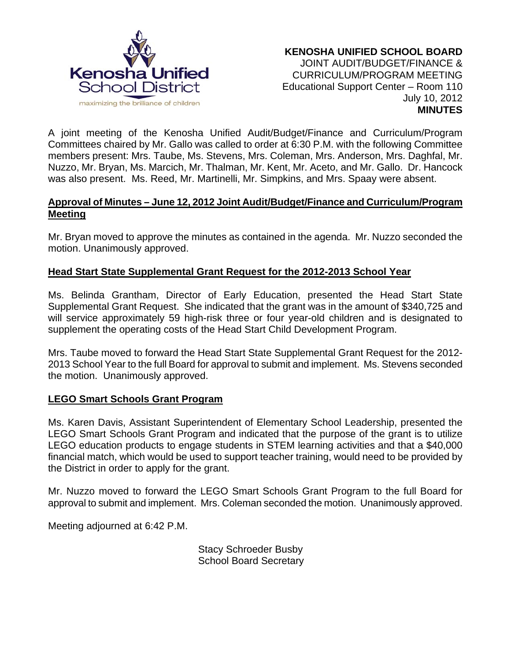

A joint meeting of the Kenosha Unified Audit/Budget/Finance and Curriculum/Program Committees chaired by Mr. Gallo was called to order at 6:30 P.M. with the following Committee members present: Mrs. Taube, Ms. Stevens, Mrs. Coleman, Mrs. Anderson, Mrs. Daghfal, Mr. Nuzzo, Mr. Bryan, Ms. Marcich, Mr. Thalman, Mr. Kent, Mr. Aceto, and Mr. Gallo. Dr. Hancock was also present. Ms. Reed, Mr. Martinelli, Mr. Simpkins, and Mrs. Spaay were absent.

#### **Approval of Minutes – June 12, 2012 Joint Audit/Budget/Finance and Curriculum/Program Meeting**

Mr. Bryan moved to approve the minutes as contained in the agenda. Mr. Nuzzo seconded the motion. Unanimously approved.

# **Head Start State Supplemental Grant Request for the 2012-2013 School Year**

Ms. Belinda Grantham, Director of Early Education, presented the Head Start State Supplemental Grant Request. She indicated that the grant was in the amount of \$340,725 and will service approximately 59 high-risk three or four year-old children and is designated to supplement the operating costs of the Head Start Child Development Program.

Mrs. Taube moved to forward the Head Start State Supplemental Grant Request for the 2012- 2013 School Year to the full Board for approval to submit and implement. Ms. Stevens seconded the motion. Unanimously approved.

## **LEGO Smart Schools Grant Program**

Ms. Karen Davis, Assistant Superintendent of Elementary School Leadership, presented the LEGO Smart Schools Grant Program and indicated that the purpose of the grant is to utilize LEGO education products to engage students in STEM learning activities and that a \$40,000 financial match, which would be used to support teacher training, would need to be provided by the District in order to apply for the grant.

Mr. Nuzzo moved to forward the LEGO Smart Schools Grant Program to the full Board for approval to submit and implement. Mrs. Coleman seconded the motion. Unanimously approved.

Meeting adjourned at 6:42 P.M.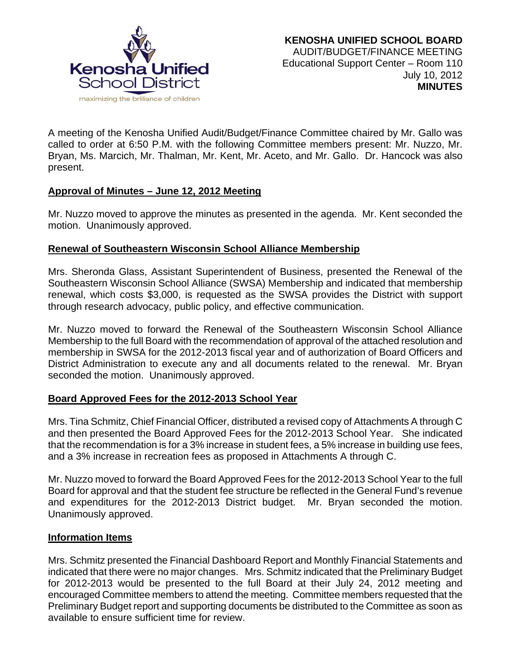

A meeting of the Kenosha Unified Audit/Budget/Finance Committee chaired by Mr. Gallo was called to order at 6:50 P.M. with the following Committee members present: Mr. Nuzzo, Mr. Bryan, Ms. Marcich, Mr. Thalman, Mr. Kent, Mr. Aceto, and Mr. Gallo. Dr. Hancock was also present.

# **Approval of Minutes – June 12, 2012 Meeting**

Mr. Nuzzo moved to approve the minutes as presented in the agenda. Mr. Kent seconded the motion. Unanimously approved.

## **Renewal of Southeastern Wisconsin School Alliance Membership**

Mrs. Sheronda Glass, Assistant Superintendent of Business, presented the Renewal of the Southeastern Wisconsin School Alliance (SWSA) Membership and indicated that membership renewal, which costs \$3,000, is requested as the SWSA provides the District with support through research advocacy, public policy, and effective communication.

Mr. Nuzzo moved to forward the Renewal of the Southeastern Wisconsin School Alliance Membership to the full Board with the recommendation of approval of the attached resolution and membership in SWSA for the 2012-2013 fiscal year and of authorization of Board Officers and District Administration to execute any and all documents related to the renewal. Mr. Bryan seconded the motion. Unanimously approved.

# **Board Approved Fees for the 2012-2013 School Year**

Mrs. Tina Schmitz, Chief Financial Officer, distributed a revised copy of Attachments A through C and then presented the Board Approved Fees for the 2012-2013 School Year. She indicated that the recommendation is for a 3% increase in student fees, a 5% increase in building use fees, and a 3% increase in recreation fees as proposed in Attachments A through C.

Mr. Nuzzo moved to forward the Board Approved Fees for the 2012-2013 School Year to the full Board for approval and that the student fee structure be reflected in the General Fund's revenue and expenditures for the 2012-2013 District budget. Mr. Bryan seconded the motion. Unanimously approved.

## **Information Items**

Mrs. Schmitz presented the Financial Dashboard Report and Monthly Financial Statements and indicated that there were no major changes. Mrs. Schmitz indicated that the Preliminary Budget for 2012-2013 would be presented to the full Board at their July 24, 2012 meeting and encouraged Committee members to attend the meeting. Committee members requested that the Preliminary Budget report and supporting documents be distributed to the Committee as soon as available to ensure sufficient time for review.